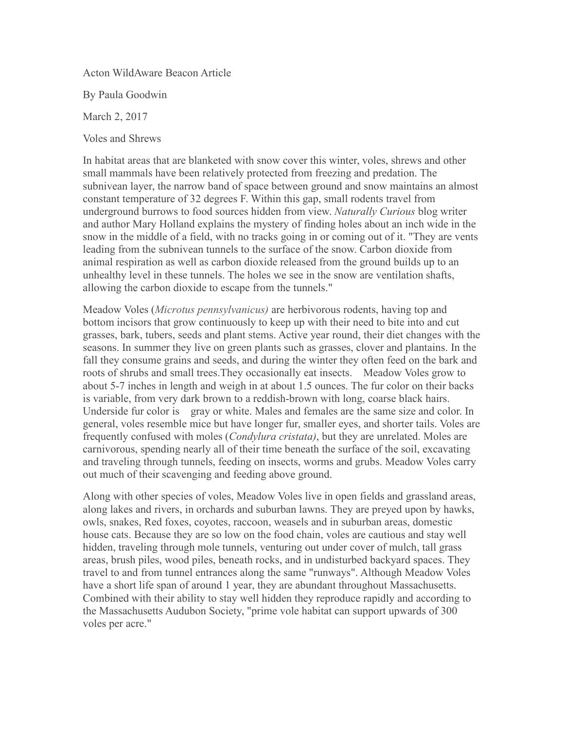Acton WildAware Beacon Article

By Paula Goodwin

March 2, 2017

Voles and Shrews

In habitat areas that are blanketed with snow cover this winter, voles, shrews and other small mammals have been relatively protected from freezing and predation. The subnivean layer, the narrow band of space between ground and snow maintains an almost constant temperature of 32 degrees F. Within this gap, small rodents travel from underground burrows to food sources hidden from view. *Naturally Curious* blog writer and author Mary Holland explains the mystery of finding holes about an inch wide in the snow in the middle of a field, with no tracks going in or coming out of it. "They are vents leading from the subnivean tunnels to the surface of the snow. Carbon dioxide from animal respiration as well as carbon dioxide released from the ground builds up to an unhealthy level in these tunnels. The holes we see in the snow are ventilation shafts, allowing the carbon dioxide to escape from the tunnels."

Meadow Voles (*Microtus pennsylvanicus)* are herbivorous rodents, having top and bottom incisors that grow continuously to keep up with their need to bite into and cut grasses, bark, tubers, seeds and plant stems. Active year round, their diet changes with the seasons. In summer they live on green plants such as grasses, clover and plantains. In the fall they consume grains and seeds, and during the winter they often feed on the bark and roots of shrubs and small trees. They occasionally eat insects. Meadow Voles grow to about 5-7 inches in length and weigh in at about 1.5 ounces. The fur color on their backs is variable, from very dark brown to a reddish-brown with long, coarse black hairs. Underside fur color is gray or white. Males and females are the same size and color. In general, voles resemble mice but have longer fur, smaller eyes, and shorter tails. Voles are frequently confused with moles (*Condylura cristata)*, but they are unrelated. Moles are carnivorous, spending nearly all of their time beneath the surface of the soil, excavating and traveling through tunnels, feeding on insects, worms and grubs. Meadow Voles carry out much of their scavenging and feeding above ground.

Along with other species of voles, Meadow Voles live in open fields and grassland areas, along lakes and rivers, in orchards and suburban lawns. They are preyed upon by hawks, owls, snakes, Red foxes, coyotes, raccoon, weasels and in suburban areas, domestic house cats. Because they are so low on the food chain, voles are cautious and stay well hidden, traveling through mole tunnels, venturing out under cover of mulch, tall grass areas, brush piles, wood piles, beneath rocks, and in undisturbed backyard spaces. They travel to and from tunnel entrances along the same "runways". Although Meadow Voles have a short life span of around 1 year, they are abundant throughout Massachusetts. Combined with their ability to stay well hidden they reproduce rapidly and according to the Massachusetts Audubon Society, "prime vole habitat can support upwards of 300 voles per acre."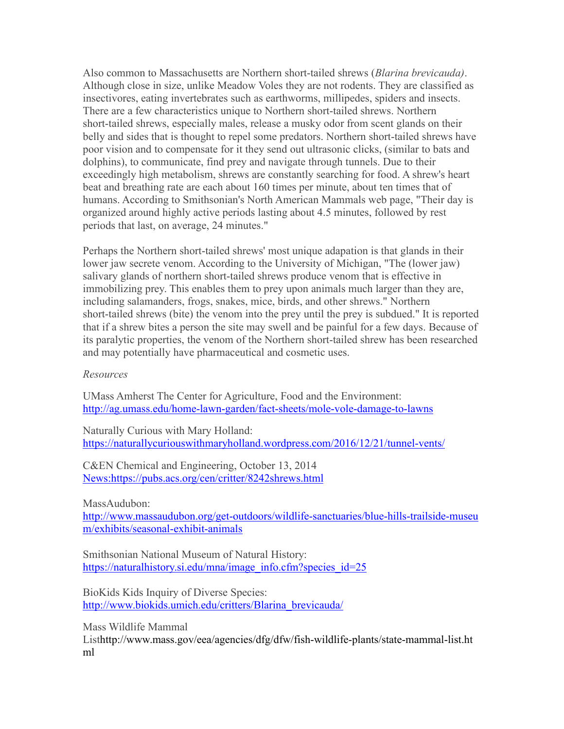Also common to Massachusetts are Northern short-tailed shrews (*Blarina brevicauda)*. Although close in size, unlike Meadow Voles they are not rodents. They are classified as insectivores, eating invertebrates such as earthworms, millipedes, spiders and insects. There are a few characteristics unique to Northern short-tailed shrews. Northern short-tailed shrews, especially males, release a musky odor from scent glands on their belly and sides that is thought to repel some predators. Northern short-tailed shrews have poor vision and to compensate for it they send out ultrasonic clicks, (similar to bats and dolphins), to communicate, find prey and navigate through tunnels. Due to their exceedingly high metabolism, shrews are constantly searching for food. A shrew's heart beat and breathing rate are each about 160 times per minute, about ten times that of humans. According to Smithsonian's North American Mammals web page, "Their day is organized around highly active periods lasting about 4.5 minutes, followed by rest periods that last, on average, 24 minutes."

Perhaps the Northern short-tailed shrews' most unique adapation is that glands in their lower jaw secrete venom. According to the University of Michigan, "The (lower jaw) salivary glands of northern short-tailed shrews produce venom that is effective in immobilizing prey. This enables them to prey upon animals much larger than they are, including salamanders, frogs, snakes, mice, birds, and other shrews." Northern short-tailed shrews (bite) the venom into the prey until the prey is subdued." It is reported that if a shrew bites a person the site may swell and be painful for a few days. Because of its paralytic properties, the venom of the Northern short-tailed shrew has been researched and may potentially have pharmaceutical and cosmetic uses.

## *Resources*

UMass Amherst The Center for Agriculture, Food and the Environment: <http://ag.umass.edu/home-lawn-garden/fact-sheets/mole-vole-damage-to-lawns>

Naturally Curious with Mary Holland: <https://naturallycuriouswithmaryholland.wordpress.com/2016/12/21/tunnel-vents/>

C&EN Chemical and Engineering, October 13, 2014 <News:https://pubs.acs.org/cen/critter/8242shrews.html>

MassAudubon:

[http://www.massaudubon.org/get-outdoors/wildlife-sanctuaries/blue-hills-trailside-museu](http://www.massaudubon.org/get-outdoors/wildlife-sanctuaries/blue-hills-trailside-museum/exhibits/seasonal-exhibit-animals) [m/exhibits/seasonal-exhibit-animals](http://www.massaudubon.org/get-outdoors/wildlife-sanctuaries/blue-hills-trailside-museum/exhibits/seasonal-exhibit-animals)

Smithsonian National Museum of Natural History: [https://naturalhistory.si.edu/mna/image\\_info.cfm?species\\_id=25](https://naturalhistory.si.edu/mna/image_info.cfm?species_id=25)

BioKids Kids Inquiry of Diverse Species: [http://www.biokids.umich.edu/critters/Blarina\\_brevicauda/](http://www.biokids.umich.edu/critters/Blarina_brevicauda/)

Mass Wildlife Mammal Listhttp://www.mass.gov/eea/agencies/dfg/dfw/fish-wildlife-plants/state-mammal-list.ht ml